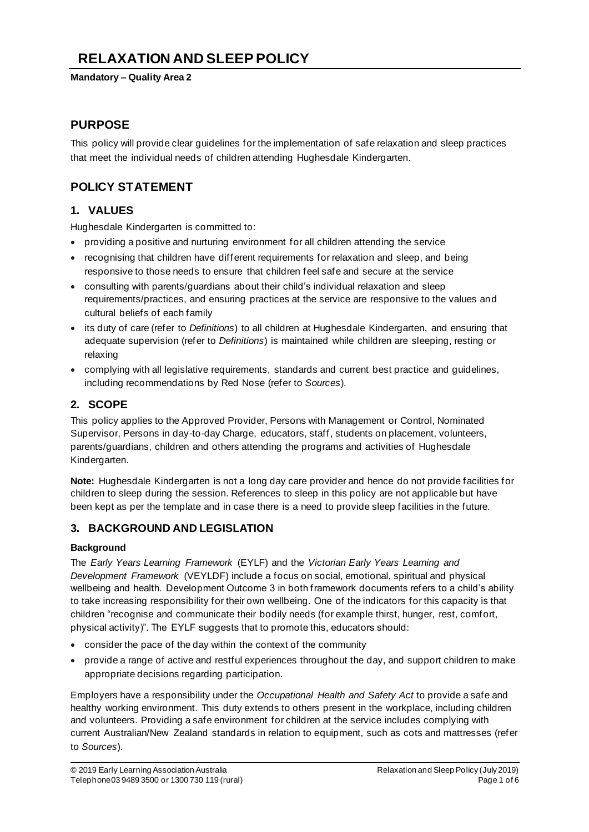# **RELAXATION AND SLEEP POLICY**

#### **Mandatory – Quality Area 2**

# **PURPOSE**

This policy will provide clear guidelines for the implementation of safe relaxation and sleep practices that meet the individual needs of children attending Hughesdale Kindergarten.

# **POLICY STATEMENT**

# **1. VALUES**

Hughesdale Kindergarten is committed to:

- providing a positive and nurturing environment for all children attending the service
- recognising that children have different requirements for relaxation and sleep, and being responsive to those needs to ensure that children feel safe and secure at the service
- consulting with parents/guardians about their child's individual relaxation and sleep requirements/practices, and ensuring practices at the service are responsive to the values and cultural beliefs of each family
- its duty of care (refer to *Definitions*) to all children at Hughesdale Kindergarten, and ensuring that adequate supervision (refer to *Definitions*) is maintained while children are sleeping, resting or relaxing
- complying with all legislative requirements, standards and current best practice and guidelines, including recommendations by Red Nose (refer to *Sources*).

# **2. SCOPE**

This policy applies to the Approved Provider, Persons with Management or Control, Nominated Supervisor, Persons in day-to-day Charge, educators, staff, students on placement, volunteers, parents/guardians, children and others attending the programs and activities of Hughesdale Kindergarten.

**Note:** Hughesdale Kindergarten is not a long day care provider and hence do not provide facilities for children to sleep during the session. References to sleep in this policy are not applicable but have been kept as per the template and in case there is a need to provide sleep facilities in the future.

## **3. BACKGROUND AND LEGISLATION**

### **Background**

The *Early Years Learning Framework* (EYLF) and the *Victorian Early Years Learning and Development Framework* (VEYLDF) include a focus on social, emotional, spiritual and physical wellbeing and health. Development Outcome 3 in both framework documents refers to a child's ability to take increasing responsibility for their own wellbeing. One of the indicators for this capacity is that children "recognise and communicate their bodily needs (for example thirst, hunger, rest, comfort, physical activity)". The EYLF suggests that to promote this, educators should:

- consider the pace of the day within the context of the community
- provide a range of active and restful experiences throughout the day, and support children to make appropriate decisions regarding participation.

Employers have a responsibility under the *Occupational Health and Safety Act* to provide a safe and healthy working environment. This duty extends to others present in the workplace, including children and volunteers. Providing a safe environment for children at the service includes complying with current Australian/New Zealand standards in relation to equipment, such as cots and mattresses (refer to *Sources*).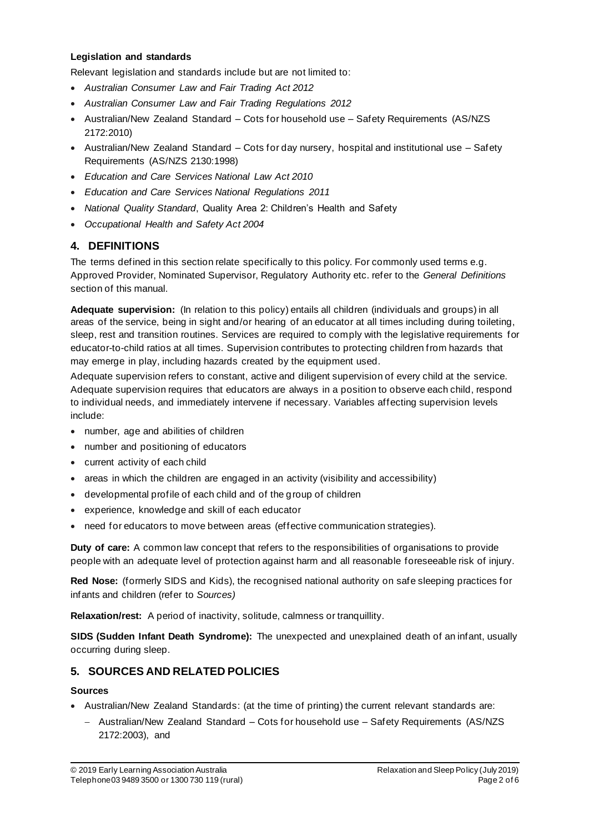#### **Legislation and standards**

Relevant legislation and standards include but are not limited to:

- *Australian Consumer Law and Fair Trading Act 2012*
- *Australian Consumer Law and Fair Trading Regulations 2012*
- Australian/New Zealand Standard Cots for household use Safety Requirements (AS/NZS 2172:2010)
- Australian/New Zealand Standard Cots for day nursery, hospital and institutional use Safety Requirements (AS/NZS 2130:1998)
- *Education and Care Services National Law Act 2010*
- *Education and Care Services National Regulations 2011*
- *National Quality Standard*, Quality Area 2: Children's Health and Safety
- *Occupational Health and Safety Act 2004*

### **4. DEFINITIONS**

The terms defined in this section relate specifically to this policy. For commonly used terms e.g. Approved Provider, Nominated Supervisor, Regulatory Authority etc. refer to the *General Definitions* section of this manual.

**Adequate supervision:** (In relation to this policy) entails all children (individuals and groups) in all areas of the service, being in sight and/or hearing of an educator at all times including during toileting, sleep, rest and transition routines. Services are required to comply with the legislative requirements for educator-to-child ratios at all times. Supervision contributes to protecting children from hazards that may emerge in play, including hazards created by the equipment used.

Adequate supervision refers to constant, active and diligent supervision of every child at the service. Adequate supervision requires that educators are always in a position to observe each child, respond to individual needs, and immediately intervene if necessary. Variables affecting supervision levels include:

- number, age and abilities of children
- number and positioning of educators
- current activity of each child
- areas in which the children are engaged in an activity (visibility and accessibility)
- developmental profile of each child and of the group of children
- experience, knowledge and skill of each educator
- need for educators to move between areas (effective communication strategies).

**Duty of care:** A common law concept that refers to the responsibilities of organisations to provide people with an adequate level of protection against harm and all reasonable foreseeable risk of injury.

**Red Nose:** (formerly SIDS and Kids), the recognised national authority on safe sleeping practices for infants and children (refer to *Sources)*

**Relaxation/rest:** A period of inactivity, solitude, calmness or tranquillity.

**SIDS (Sudden Infant Death Syndrome):** The unexpected and unexplained death of an infant, usually occurring during sleep.

## **5. SOURCES AND RELATED POLICIES**

#### **Sources**

- Australian/New Zealand Standards: (at the time of printing) the current relevant standards are:
	- − Australian/New Zealand Standard Cots for household use Safety Requirements (AS/NZS 2172:2003), and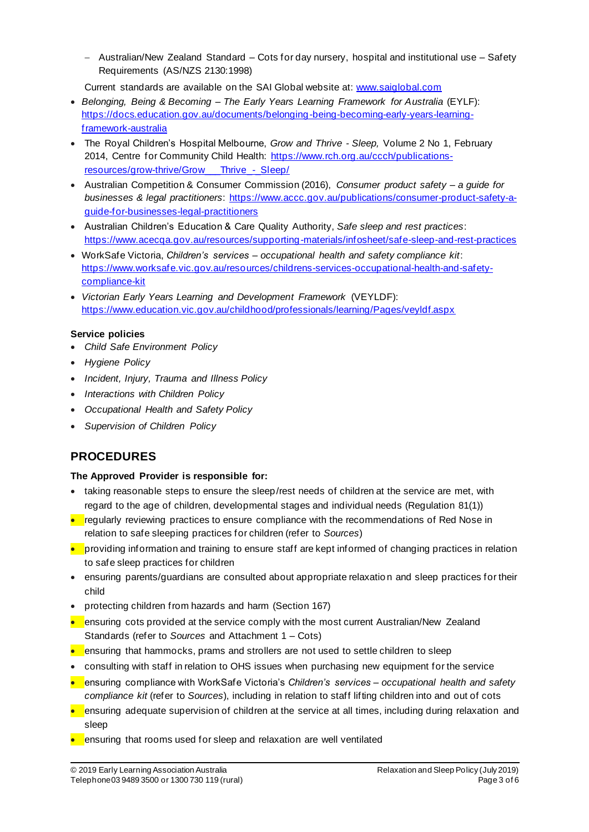- − Australian/New Zealand Standard Cots for day nursery, hospital and institutional use Safety Requirements (AS/NZS 2130:1998)
- Current standards are available on the SAI Global website at: www.saiglobal.com
- *Belonging, Being & Becoming – The Early Years Learning Framework for Australia* (EYLF): https://docs.education.gov.au/documents/belonging-being-becoming-early-years-learningframework-australia
- The Royal Children's Hospital Melbourne, *Grow and Thrive - Sleep,* Volume 2 No 1, February 2014, Centre for Community Child Health: https://www.rch.org.au/ccch/publicationsresources/grow-thrive/Grow Thrive - Sleep/
- Australian Competition & Consumer Commission (2016), *Consumer product safety – a guide for businesses & legal practitioners*: https://www.accc.gov.au/publications/consumer-product-safety-aguide-for-businesses-legal-practitioners
- Australian Children's Education & Care Quality Authority, *Safe sleep and rest practices*: https://www.acecqa.gov.au/resources/supporting-materials/infosheet/safe-sleep-and-rest-practices
- WorkSafe Victoria, *Children's services – occupational health and safety compliance kit*: https://www.worksafe.vic.gov.au/resources/childrens-services-occupational-health-and-safetycompliance-kit
- *Victorian Early Years Learning and Development Framework* (VEYLDF): https://www.education.vic.gov.au/childhood/professionals/learning/Pages/veyldf.aspx

#### **Service policies**

- *Child Safe Environment Policy*
- *Hygiene Policy*
- *Incident, Injury, Trauma and Illness Policy*
- *Interactions with Children Policy*
- *Occupational Health and Safety Policy*
- *Supervision of Children Policy*

# **PROCEDURES**

#### **The Approved Provider is responsible for:**

- taking reasonable steps to ensure the sleep/rest needs of children at the service are met, with regard to the age of children, developmental stages and individual needs (Regulation 81(1))
- regularly reviewing practices to ensure compliance with the recommendations of Red Nose in relation to safe sleeping practices for children (refer to *Sources*)
- providing information and training to ensure staff are kept informed of changing practices in relation to safe sleep practices for children
- ensuring parents/guardians are consulted about appropriate relaxation and sleep practices for their child
- protecting children from hazards and harm (Section 167)
- ensuring cots provided at the service comply with the most current Australian/New Zealand Standards (refer to *Sources* and Attachment 1 – Cots)
- ensuring that hammocks, prams and strollers are not used to settle children to sleep
- consulting with staff in relation to OHS issues when purchasing new equipment for the service
- ensuring compliance with WorkSafe Victoria's *Children's services – occupational health and safety compliance kit* (refer to *Sources*), including in relation to staff lifting children into and out of cots
- ensuring adequate supervision of children at the service at all times, including during relaxation and sleep
- ensuring that rooms used for sleep and relaxation are well ventilated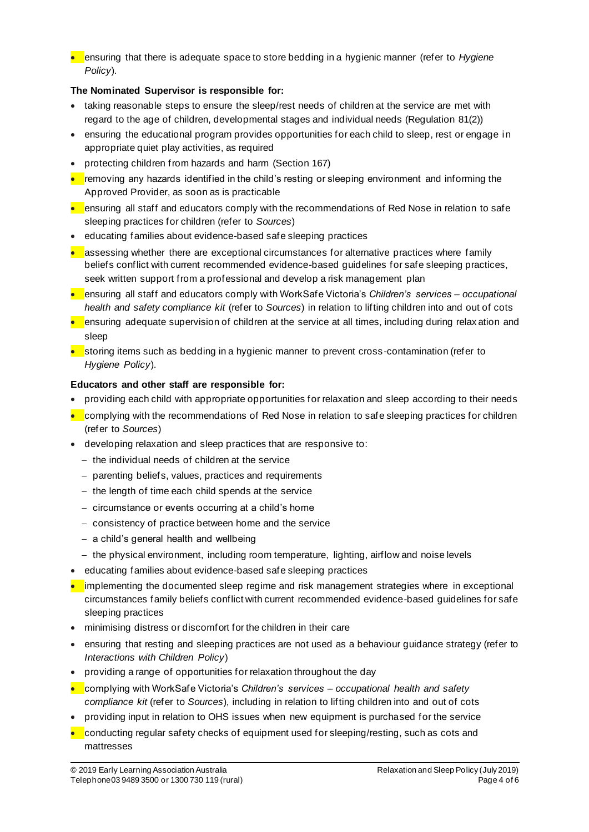• ensuring that there is adequate space to store bedding in a hygienic manner (refer to *Hygiene Policy*).

### **The Nominated Supervisor is responsible for:**

- taking reasonable steps to ensure the sleep/rest needs of children at the service are met with regard to the age of children, developmental stages and individual needs (Regulation 81(2))
- ensuring the educational program provides opportunities for each child to sleep, rest or engage in appropriate quiet play activities, as required
- protecting children from hazards and harm (Section 167)
- removing any hazards identified in the child's resting or sleeping environment and informing the Approved Provider, as soon as is practicable
- ensuring all staff and educators comply with the recommendations of Red Nose in relation to safe sleeping practices for children (refer to *Sources*)
- educating families about evidence-based safe sleeping practices
- $\bullet$  assessing whether there are exceptional circumstances for alternative practices where family beliefs conflict with current recommended evidence-based guidelines for safe sleeping practices, seek written support from a professional and develop a risk management plan
- ensuring all staff and educators comply with WorkSafe Victoria's *Children's services – occupational health and safety compliance kit* (refer to *Sources*) in relation to lifting children into and out of cots
- $\bullet$  ensuring adequate supervision of children at the service at all times, including during relax ation and sleep
- storing items such as bedding in a hygienic manner to prevent cross-contamination (refer to *Hygiene Policy*).

### **Educators and other staff are responsible for:**

- providing each child with appropriate opportunities for relaxation and sleep according to their needs
- complying with the recommendations of Red Nose in relation to safe sleeping practices for children (refer to *Sources*)
- developing relaxation and sleep practices that are responsive to:
	- − the individual needs of children at the service
	- − parenting beliefs, values, practices and requirements
	- − the length of time each child spends at the service
	- − circumstance or events occurring at a child's home
	- − consistency of practice between home and the service
	- − a child's general health and wellbeing
	- − the physical environment, including room temperature, lighting, airflow and noise levels
- educating families about evidence-based safe sleeping practices
- implementing the documented sleep regime and risk management strategies where in exceptional circumstances family beliefs conflict with current recommended evidence-based guidelines for safe sleeping practices
- minimising distress or discomfort for the children in their care
- ensuring that resting and sleeping practices are not used as a behaviour guidance strategy (refer to *Interactions with Children Policy*)
- providing a range of opportunities for relaxation throughout the day
- complying with WorkSafe Victoria's *Children's services – occupational health and safety compliance kit* (refer to *Sources*), including in relation to lifting children into and out of cots
- providing input in relation to OHS issues when new equipment is purchased for the service
- conducting regular safety checks of equipment used for sleeping/resting, such as cots and mattresses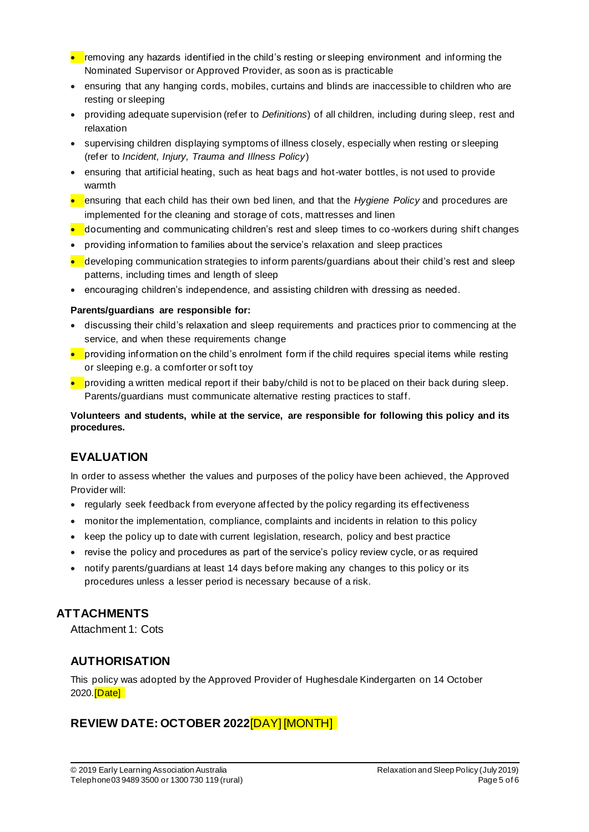- removing any hazards identified in the child's resting or sleeping environment and informing the Nominated Supervisor or Approved Provider, as soon as is practicable
- ensuring that any hanging cords, mobiles, curtains and blinds are inaccessible to children who are resting or sleeping
- providing adequate supervision (refer to *Definitions*) of all children, including during sleep, rest and relaxation
- supervising children displaying symptoms of illness closely, especially when resting or sleeping (refer to *Incident, Injury, Trauma and Illness Policy*)
- ensuring that artificial heating, such as heat bags and hot-water bottles, is not used to provide warmth
- ensuring that each child has their own bed linen, and that the *Hygiene Policy* and procedures are implemented for the cleaning and storage of cots, mattresses and linen
- documenting and communicating children's rest and sleep times to co-workers during shift changes
- providing information to families about the service's relaxation and sleep practices
- $\bullet$  developing communication strategies to inform parents/guardians about their child's rest and sleep patterns, including times and length of sleep
- encouraging children's independence, and assisting children with dressing as needed.

#### **Parents/guardians are responsible for:**

- discussing their child's relaxation and sleep requirements and practices prior to commencing at the service, and when these requirements change
- providing information on the child's enrolment form if the child requires special items while resting or sleeping e.g. a comforter or soft toy
- providing a written medical report if their baby/child is not to be placed on their back during sleep. Parents/guardians must communicate alternative resting practices to staff.

**Volunteers and students, while at the service, are responsible for following this policy and its procedures.**

# **EVALUATION**

In order to assess whether the values and purposes of the policy have been achieved, the Approved Provider will:

- regularly seek feedback from everyone affected by the policy regarding its effectiveness
- monitor the implementation, compliance, complaints and incidents in relation to this policy
- keep the policy up to date with current legislation, research, policy and best practice
- revise the policy and procedures as part of the service's policy review cycle, or as required
- notify parents/guardians at least 14 days before making any changes to this policy or its procedures unless a lesser period is necessary because of a risk.

# **ATTACHMENTS**

Attachment 1: Cots

## **AUTHORISATION**

This policy was adopted by the Approved Provider of Hughesdale Kindergarten on 14 October 2020.**[Date]** 

# **REVIEW DATE: OCTOBER 2022**[DAY] [MONTH]